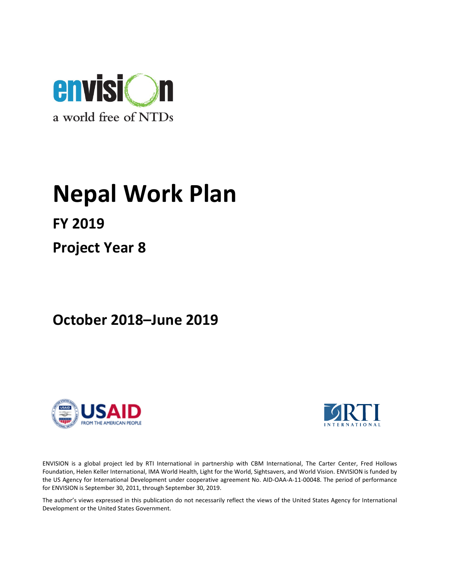

# Nepal Work Plan

FY 2019

Project Year 8

October 2018–June 2019





ENVISION is a global project led by RTI International in partnership with CBM International, The Carter Center, Fred Hollows Foundation, Helen Keller International, IMA World Health, Light for the World, Sightsavers, and World Vision. ENVISION is funded by the US Agency for International Development under cooperative agreement No. AID-OAA-A-11-00048. The period of performance for ENVISION is September 30, 2011, through September 30, 2019.

The author's views expressed in this publication do not necessarily reflect the views of the United States Agency for International Development or the United States Government.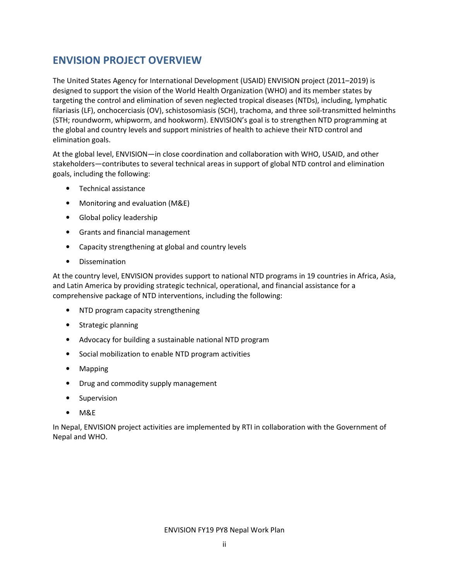# ENVISION PROJECT OVERVIEW

The United States Agency for International Development (USAID) ENVISION project (2011–2019) is designed to support the vision of the World Health Organization (WHO) and its member states by targeting the control and elimination of seven neglected tropical diseases (NTDs), including, lymphatic filariasis (LF), onchocerciasis (OV), schistosomiasis (SCH), trachoma, and three soil-transmitted helminths (STH; roundworm, whipworm, and hookworm). ENVISION's goal is to strengthen NTD programming at the global and country levels and support ministries of health to achieve their NTD control and elimination goals.

At the global level, ENVISION—in close coordination and collaboration with WHO, USAID, and other stakeholders—contributes to several technical areas in support of global NTD control and elimination goals, including the following:

- Technical assistance
- Monitoring and evaluation (M&E)
- Global policy leadership
- Grants and financial management
- Capacity strengthening at global and country levels
- Dissemination

At the country level, ENVISION provides support to national NTD programs in 19 countries in Africa, Asia, and Latin America by providing strategic technical, operational, and financial assistance for a comprehensive package of NTD interventions, including the following:

- NTD program capacity strengthening
- Strategic planning
- Advocacy for building a sustainable national NTD program
- Social mobilization to enable NTD program activities
- Mapping
- Drug and commodity supply management
- Supervision
- M&E

In Nepal, ENVISION project activities are implemented by RTI in collaboration with the Government of Nepal and WHO.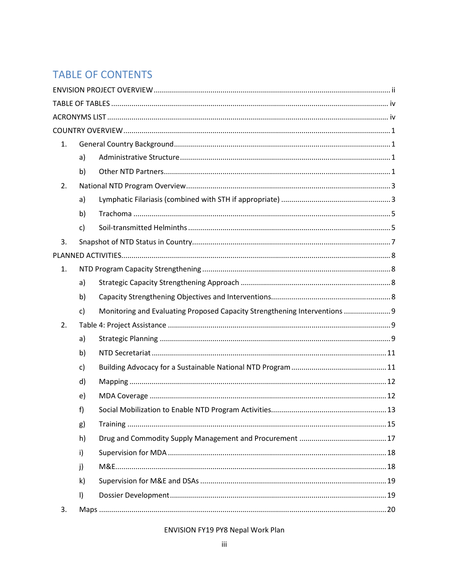# **TABLE OF CONTENTS**

| 1. |              |                                                                            |  |
|----|--------------|----------------------------------------------------------------------------|--|
|    | a)           |                                                                            |  |
|    | b)           |                                                                            |  |
| 2. |              |                                                                            |  |
|    | a)           |                                                                            |  |
|    | b)           |                                                                            |  |
|    | $\mathsf{c}$ |                                                                            |  |
| 3. |              |                                                                            |  |
|    |              |                                                                            |  |
| 1. |              |                                                                            |  |
|    | a)           |                                                                            |  |
|    | b)           |                                                                            |  |
|    | $\mathsf{C}$ | Monitoring and Evaluating Proposed Capacity Strengthening Interventions  9 |  |
| 2. |              |                                                                            |  |
|    | a)           |                                                                            |  |
|    | b)           |                                                                            |  |
|    | c)           |                                                                            |  |
|    | d)           |                                                                            |  |
|    | e)           |                                                                            |  |
|    | f)           |                                                                            |  |
|    | g)           |                                                                            |  |
|    | h)           |                                                                            |  |
|    | i)           |                                                                            |  |
|    | j)           |                                                                            |  |
|    | k)           |                                                                            |  |
|    | $\vert$      |                                                                            |  |
| 3. |              |                                                                            |  |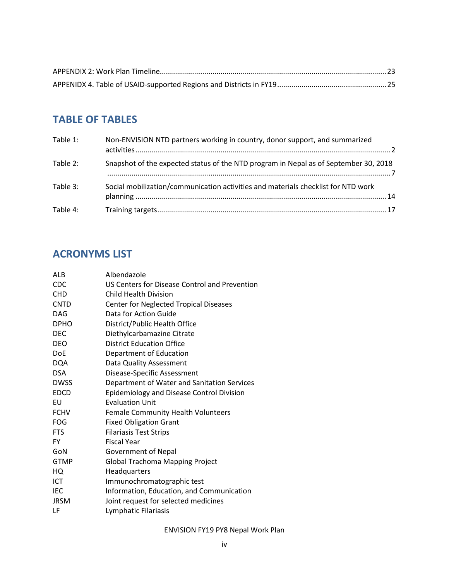# TABLE OF TABLES

| Table 1: | Non-ENVISION NTD partners working in country, donor support, and summarized          |
|----------|--------------------------------------------------------------------------------------|
| Table 2: | Snapshot of the expected status of the NTD program in Nepal as of September 30, 2018 |
| Table 3: | Social mobilization/communication activities and materials checklist for NTD work    |
| Table 4: |                                                                                      |

# ACRONYMS LIST

| ALB         | Albendazole                                   |
|-------------|-----------------------------------------------|
| <b>CDC</b>  | US Centers for Disease Control and Prevention |
| <b>CHD</b>  | Child Health Division                         |
| <b>CNTD</b> | <b>Center for Neglected Tropical Diseases</b> |
| <b>DAG</b>  | Data for Action Guide                         |
| <b>DPHO</b> | District/Public Health Office                 |
| <b>DEC</b>  | Diethylcarbamazine Citrate                    |
| <b>DEO</b>  | <b>District Education Office</b>              |
| <b>DoE</b>  | Department of Education                       |
| <b>DQA</b>  | Data Quality Assessment                       |
| <b>DSA</b>  | Disease-Specific Assessment                   |
| <b>DWSS</b> | Department of Water and Sanitation Services   |
| <b>EDCD</b> | Epidemiology and Disease Control Division     |
| EU          | <b>Evaluation Unit</b>                        |
| <b>FCHV</b> | Female Community Health Volunteers            |
| <b>FOG</b>  | <b>Fixed Obligation Grant</b>                 |
| <b>FTS</b>  | <b>Filariasis Test Strips</b>                 |
| <b>FY</b>   | <b>Fiscal Year</b>                            |
| GoN         | Government of Nepal                           |
| <b>GTMP</b> | <b>Global Trachoma Mapping Project</b>        |
| HQ          | Headquarters                                  |
| ICT         | Immunochromatographic test                    |
| <b>IEC</b>  | Information, Education, and Communication     |
| <b>JRSM</b> | Joint request for selected medicines          |
| LF          | Lymphatic Filariasis                          |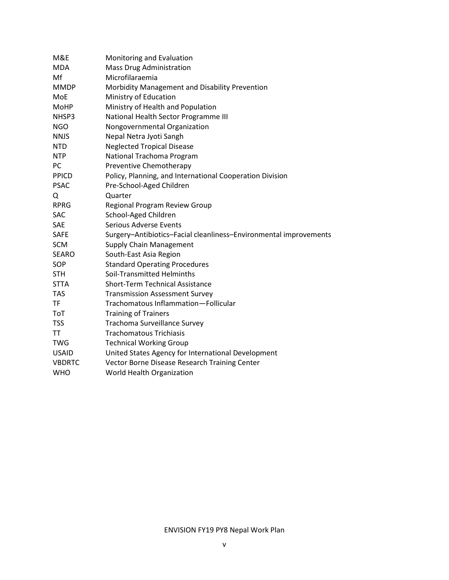| M&E           | Monitoring and Evaluation                                         |
|---------------|-------------------------------------------------------------------|
| <b>MDA</b>    | <b>Mass Drug Administration</b>                                   |
| Mf            | Microfilaraemia                                                   |
| <b>MMDP</b>   | Morbidity Management and Disability Prevention                    |
| MoE           | Ministry of Education                                             |
| <b>MoHP</b>   | Ministry of Health and Population                                 |
| NHSP3         | National Health Sector Programme III                              |
| <b>NGO</b>    | Nongovernmental Organization                                      |
| <b>NNJS</b>   | Nepal Netra Jyoti Sangh                                           |
| <b>NTD</b>    | <b>Neglected Tropical Disease</b>                                 |
| <b>NTP</b>    | National Trachoma Program                                         |
| PC            | Preventive Chemotherapy                                           |
| <b>PPICD</b>  | Policy, Planning, and International Cooperation Division          |
| <b>PSAC</b>   | Pre-School-Aged Children                                          |
| Q             | Quarter                                                           |
| <b>RPRG</b>   | Regional Program Review Group                                     |
| <b>SAC</b>    | School-Aged Children                                              |
| <b>SAE</b>    | <b>Serious Adverse Events</b>                                     |
| <b>SAFE</b>   | Surgery-Antibiotics-Facial cleanliness-Environmental improvements |
| <b>SCM</b>    | <b>Supply Chain Management</b>                                    |
| <b>SEARO</b>  | South-East Asia Region                                            |
| SOP           | <b>Standard Operating Procedures</b>                              |
| <b>STH</b>    | Soil-Transmitted Helminths                                        |
| <b>STTA</b>   | <b>Short-Term Technical Assistance</b>                            |
| <b>TAS</b>    | <b>Transmission Assessment Survey</b>                             |
| <b>TF</b>     | Trachomatous Inflammation-Follicular                              |
| <b>ToT</b>    | <b>Training of Trainers</b>                                       |
| <b>TSS</b>    | <b>Trachoma Surveillance Survey</b>                               |
| <b>TT</b>     | <b>Trachomatous Trichiasis</b>                                    |
| <b>TWG</b>    | <b>Technical Working Group</b>                                    |
| <b>USAID</b>  | United States Agency for International Development                |
| <b>VBDRTC</b> | Vector Borne Disease Research Training Center                     |
| <b>WHO</b>    | World Health Organization                                         |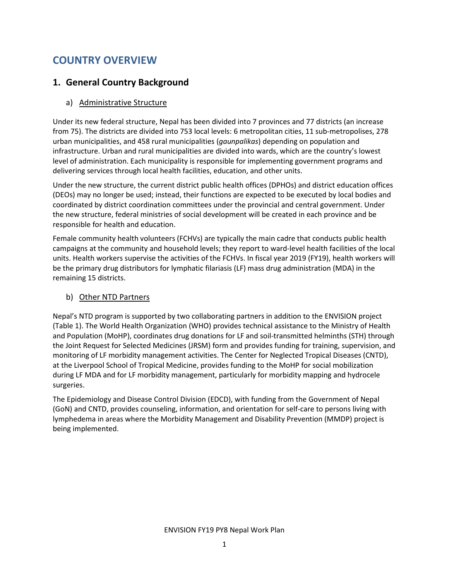# COUNTRY OVERVIEW

## 1. General Country Background

#### a) Administrative Structure

Under its new federal structure, Nepal has been divided into 7 provinces and 77 districts (an increase from 75). The districts are divided into 753 local levels: 6 metropolitan cities, 11 sub-metropolises, 278 urban municipalities, and 458 rural municipalities (*gaunpalikas*) depending on population and infrastructure. Urban and rural municipalities are divided into wards, which are the country's lowest level of administration. Each municipality is responsible for implementing government programs and delivering services through local health facilities, education, and other units.

Under the new structure, the current district public health offices (DPHOs) and district education offices (DEOs) may no longer be used; instead, their functions are expected to be executed by local bodies and coordinated by district coordination committees under the provincial and central government. Under the new structure, federal ministries of social development will be created in each province and be responsible for health and education.

Female community health volunteers (FCHVs) are typically the main cadre that conducts public health campaigns at the community and household levels; they report to ward-level health facilities of the local units. Health workers supervise the activities of the FCHVs. In fiscal year 2019 (FY19), health workers will be the primary drug distributors for lymphatic filariasis (LF) mass drug administration (MDA) in the remaining 15 districts.

#### b) Other NTD Partners

Nepal's NTD program is supported by two collaborating partners in addition to the ENVISION project (Table 1). The World Health Organization (WHO) provides technical assistance to the Ministry of Health and Population (MoHP), coordinates drug donations for LF and soil-transmitted helminths (STH) through the Joint Request for Selected Medicines (JRSM) form and provides funding for training, supervision, and monitoring of LF morbidity management activities. The Center for Neglected Tropical Diseases (CNTD), at the Liverpool School of Tropical Medicine, provides funding to the MoHP for social mobilization during LF MDA and for LF morbidity management, particularly for morbidity mapping and hydrocele surgeries.

The Epidemiology and Disease Control Division (EDCD), with funding from the Government of Nepal (GoN) and CNTD, provides counseling, information, and orientation for self-care to persons living with lymphedema in areas where the Morbidity Management and Disability Prevention (MMDP) project is being implemented.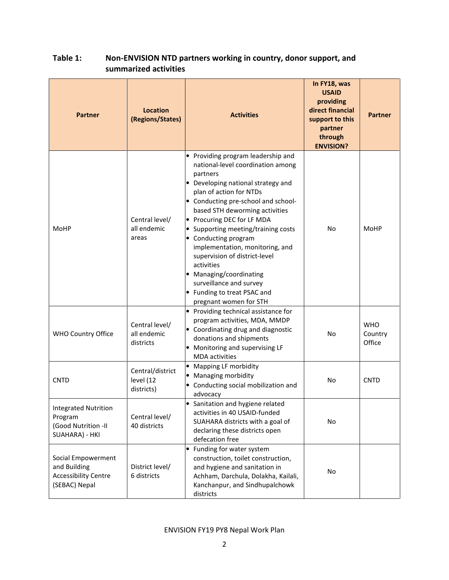## Table 1: Non-ENVISION NTD partners working in country, donor support, and summarized activities

| <b>Partner</b>                                                                     | Location<br>(Regions/States)                | <b>Activities</b>                                                                                                                                                                                                                                                                                                                                                                                                                                                                                                                    | In FY18, was<br><b>USAID</b><br>providing<br>direct financial<br>support to this<br>partner<br>through<br><b>ENVISION?</b> | <b>Partner</b>                  |
|------------------------------------------------------------------------------------|---------------------------------------------|--------------------------------------------------------------------------------------------------------------------------------------------------------------------------------------------------------------------------------------------------------------------------------------------------------------------------------------------------------------------------------------------------------------------------------------------------------------------------------------------------------------------------------------|----------------------------------------------------------------------------------------------------------------------------|---------------------------------|
| MoHP                                                                               | Central level/<br>all endemic<br>areas      | Providing program leadership and<br>$\bullet$<br>national-level coordination among<br>partners<br>• Developing national strategy and<br>plan of action for NTDs<br>• Conducting pre-school and school-<br>based STH deworming activities<br>• Procuring DEC for LF MDA<br>Supporting meeting/training costs<br>• Conducting program<br>implementation, monitoring, and<br>supervision of district-level<br>activities<br>• Managing/coordinating<br>surveillance and survey<br>• Funding to treat PSAC and<br>pregnant women for STH | No                                                                                                                         | MoHP                            |
| <b>WHO Country Office</b>                                                          | Central level/<br>all endemic<br>districts  | Providing technical assistance for<br>program activities, MDA, MMDP<br>Coordinating drug and diagnostic<br>donations and shipments<br>• Monitoring and supervising LF<br><b>MDA</b> activities                                                                                                                                                                                                                                                                                                                                       | No                                                                                                                         | <b>WHO</b><br>Country<br>Office |
| <b>CNTD</b>                                                                        | Central/district<br>level (12<br>districts) | <b>Mapping LF morbidity</b><br>$\bullet$<br>• Managing morbidity<br>Conducting social mobilization and<br>advocacy                                                                                                                                                                                                                                                                                                                                                                                                                   | No                                                                                                                         | <b>CNTD</b>                     |
| <b>Integrated Nutrition</b><br>Program<br>(Good Nutrition -II<br>SUAHARA) - HKI    | Central level/<br>40 districts              | • Sanitation and hygiene related<br>activities in 40 USAID-funded<br>SUAHARA districts with a goal of<br>declaring these districts open<br>defecation free                                                                                                                                                                                                                                                                                                                                                                           | No                                                                                                                         |                                 |
| Social Empowerment<br>and Building<br><b>Accessibility Centre</b><br>(SEBAC) Nepal | District level/<br>6 districts              | Funding for water system<br>$\bullet$<br>construction, toilet construction,<br>and hygiene and sanitation in<br>Achham, Darchula, Dolakha, Kailali,<br>Kanchanpur, and Sindhupalchowk<br>districts                                                                                                                                                                                                                                                                                                                                   | No                                                                                                                         |                                 |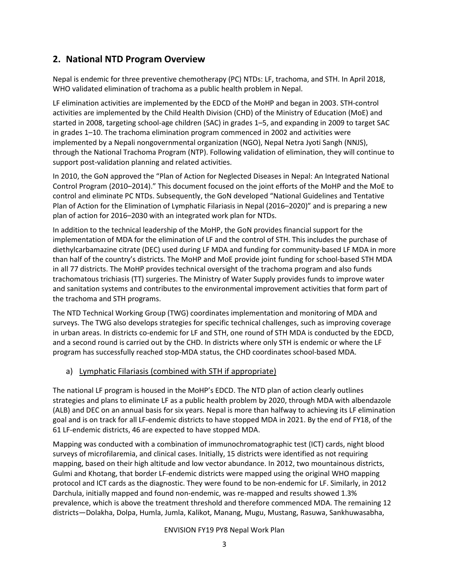## 2. National NTD Program Overview

Nepal is endemic for three preventive chemotherapy (PC) NTDs: LF, trachoma, and STH. In April 2018, WHO validated elimination of trachoma as a public health problem in Nepal.

LF elimination activities are implemented by the EDCD of the MoHP and began in 2003. STH-control activities are implemented by the Child Health Division (CHD) of the Ministry of Education (MoE) and started in 2008, targeting school-age children (SAC) in grades 1–5, and expanding in 2009 to target SAC in grades 1–10. The trachoma elimination program commenced in 2002 and activities were implemented by a Nepali nongovernmental organization (NGO), Nepal Netra Jyoti Sangh (NNJS), through the National Trachoma Program (NTP). Following validation of elimination, they will continue to support post-validation planning and related activities.

In 2010, the GoN approved the "Plan of Action for Neglected Diseases in Nepal: An Integrated National Control Program (2010–2014)." This document focused on the joint efforts of the MoHP and the MoE to control and eliminate PC NTDs. Subsequently, the GoN developed "National Guidelines and Tentative Plan of Action for the Elimination of Lymphatic Filariasis in Nepal (2016–2020)" and is preparing a new plan of action for 2016–2030 with an integrated work plan for NTDs.

In addition to the technical leadership of the MoHP, the GoN provides financial support for the implementation of MDA for the elimination of LF and the control of STH. This includes the purchase of diethylcarbamazine citrate (DEC) used during LF MDA and funding for community-based LF MDA in more than half of the country's districts. The MoHP and MoE provide joint funding for school-based STH MDA in all 77 districts. The MoHP provides technical oversight of the trachoma program and also funds trachomatous trichiasis (TT) surgeries. The Ministry of Water Supply provides funds to improve water and sanitation systems and contributes to the environmental improvement activities that form part of the trachoma and STH programs.

The NTD Technical Working Group (TWG) coordinates implementation and monitoring of MDA and surveys. The TWG also develops strategies for specific technical challenges, such as improving coverage in urban areas. In districts co-endemic for LF and STH, one round of STH MDA is conducted by the EDCD, and a second round is carried out by the CHD. In districts where only STH is endemic or where the LF program has successfully reached stop-MDA status, the CHD coordinates school-based MDA.

#### a) Lymphatic Filariasis (combined with STH if appropriate)

The national LF program is housed in the MoHP's EDCD. The NTD plan of action clearly outlines strategies and plans to eliminate LF as a public health problem by 2020, through MDA with albendazole (ALB) and DEC on an annual basis for six years. Nepal is more than halfway to achieving its LF elimination goal and is on track for all LF-endemic districts to have stopped MDA in 2021. By the end of FY18, of the 61 LF-endemic districts, 46 are expected to have stopped MDA.

Mapping was conducted with a combination of immunochromatographic test (ICT) cards, night blood surveys of microfilaremia, and clinical cases. Initially, 15 districts were identified as not requiring mapping, based on their high altitude and low vector abundance. In 2012, two mountainous districts, Gulmi and Khotang, that border LF-endemic districts were mapped using the original WHO mapping protocol and ICT cards as the diagnostic. They were found to be non-endemic for LF. Similarly, in 2012 Darchula, initially mapped and found non-endemic, was re-mapped and results showed 1.3% prevalence, which is above the treatment threshold and therefore commenced MDA. The remaining 12 districts—Dolakha, Dolpa, Humla, Jumla, Kalikot, Manang, Mugu, Mustang, Rasuwa, Sankhuwasabha,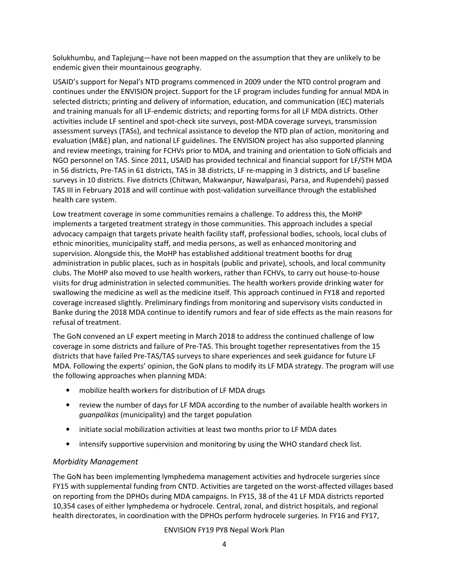Solukhumbu, and Taplejung—have not been mapped on the assumption that they are unlikely to be endemic given their mountainous geography.

USAID's support for Nepal's NTD programs commenced in 2009 under the NTD control program and continues under the ENVISION project. Support for the LF program includes funding for annual MDA in selected districts; printing and delivery of information, education, and communication (IEC) materials and training manuals for all LF-endemic districts; and reporting forms for all LF MDA districts. Other activities include LF sentinel and spot-check site surveys, post-MDA coverage surveys, transmission assessment surveys (TASs), and technical assistance to develop the NTD plan of action, monitoring and evaluation (M&E) plan, and national LF guidelines. The ENVISION project has also supported planning and review meetings, training for FCHVs prior to MDA, and training and orientation to GoN officials and NGO personnel on TAS. Since 2011, USAID has provided technical and financial support for LF/STH MDA in 56 districts, Pre-TAS in 61 districts, TAS in 38 districts, LF re-mapping in 3 districts, and LF baseline surveys in 10 districts. Five districts (Chitwan, Makwanpur, Nawalparasi, Parsa, and Rupendehi) passed TAS III in February 2018 and will continue with post-validation surveillance through the established health care system.

Low treatment coverage in some communities remains a challenge. To address this, the MoHP implements a targeted treatment strategy in those communities. This approach includes a special advocacy campaign that targets private health facility staff, professional bodies, schools, local clubs of ethnic minorities, municipality staff, and media persons, as well as enhanced monitoring and supervision. Alongside this, the MoHP has established additional treatment booths for drug administration in public places, such as in hospitals (public and private), schools, and local community clubs. The MoHP also moved to use health workers, rather than FCHVs, to carry out house-to-house visits for drug administration in selected communities. The health workers provide drinking water for swallowing the medicine as well as the medicine itself. This approach continued in FY18 and reported coverage increased slightly. Preliminary findings from monitoring and supervisory visits conducted in Banke during the 2018 MDA continue to identify rumors and fear of side effects as the main reasons for refusal of treatment.

The GoN convened an LF expert meeting in March 2018 to address the continued challenge of low coverage in some districts and failure of Pre-TAS. This brought together representatives from the 15 districts that have failed Pre-TAS/TAS surveys to share experiences and seek guidance for future LF MDA. Following the experts' opinion, the GoN plans to modify its LF MDA strategy. The program will use the following approaches when planning MDA:

- mobilize health workers for distribution of LF MDA drugs
- review the number of days for LF MDA according to the number of available health workers in guanpalikas (municipality) and the target population
- initiate social mobilization activities at least two months prior to LF MDA dates
- intensify supportive supervision and monitoring by using the WHO standard check list.

#### Morbidity Management

The GoN has been implementing lymphedema management activities and hydrocele surgeries since FY15 with supplemental funding from CNTD. Activities are targeted on the worst-affected villages based on reporting from the DPHOs during MDA campaigns. In FY15, 38 of the 41 LF MDA districts reported 10,354 cases of either lymphedema or hydrocele. Central, zonal, and district hospitals, and regional health directorates, in coordination with the DPHOs perform hydrocele surgeries. In FY16 and FY17,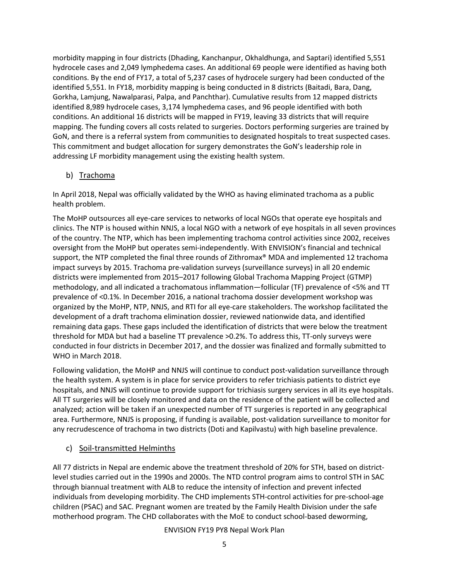morbidity mapping in four districts (Dhading, Kanchanpur, Okhaldhunga, and Saptari) identified 5,551 hydrocele cases and 2,049 lymphedema cases. An additional 69 people were identified as having both conditions. By the end of FY17, a total of 5,237 cases of hydrocele surgery had been conducted of the identified 5,551. In FY18, morbidity mapping is being conducted in 8 districts (Baitadi, Bara, Dang, Gorkha, Lamjung, Nawalparasi, Palpa, and Panchthar). Cumulative results from 12 mapped districts identified 8,989 hydrocele cases, 3,174 lymphedema cases, and 96 people identified with both conditions. An additional 16 districts will be mapped in FY19, leaving 33 districts that will require mapping. The funding covers all costs related to surgeries. Doctors performing surgeries are trained by GoN, and there is a referral system from communities to designated hospitals to treat suspected cases. This commitment and budget allocation for surgery demonstrates the GoN's leadership role in addressing LF morbidity management using the existing health system.

#### b) Trachoma

In April 2018, Nepal was officially validated by the WHO as having eliminated trachoma as a public health problem.

The MoHP outsources all eye-care services to networks of local NGOs that operate eye hospitals and clinics. The NTP is housed within NNJS, a local NGO with a network of eye hospitals in all seven provinces of the country. The NTP, which has been implementing trachoma control activities since 2002, receives oversight from the MoHP but operates semi-independently. With ENVISION's financial and technical support, the NTP completed the final three rounds of Zithromax® MDA and implemented 12 trachoma impact surveys by 2015. Trachoma pre-validation surveys (surveillance surveys) in all 20 endemic districts were implemented from 2015–2017 following Global Trachoma Mapping Project (GTMP) methodology, and all indicated a trachomatous inflammation—follicular (TF) prevalence of <5% and TT prevalence of <0.1%. In December 2016, a national trachoma dossier development workshop was organized by the MoHP, NTP, NNJS, and RTI for all eye-care stakeholders. The workshop facilitated the development of a draft trachoma elimination dossier, reviewed nationwide data, and identified remaining data gaps. These gaps included the identification of districts that were below the treatment threshold for MDA but had a baseline TT prevalence >0.2%. To address this, TT-only surveys were conducted in four districts in December 2017, and the dossier was finalized and formally submitted to WHO in March 2018.

Following validation, the MoHP and NNJS will continue to conduct post-validation surveillance through the health system. A system is in place for service providers to refer trichiasis patients to district eye hospitals, and NNJS will continue to provide support for trichiasis surgery services in all its eye hospitals. All TT surgeries will be closely monitored and data on the residence of the patient will be collected and analyzed; action will be taken if an unexpected number of TT surgeries is reported in any geographical area. Furthermore, NNJS is proposing, if funding is available, post-validation surveillance to monitor for any recrudescence of trachoma in two districts (Doti and Kapilvastu) with high baseline prevalence.

#### c) Soil-transmitted Helminths

All 77 districts in Nepal are endemic above the treatment threshold of 20% for STH, based on districtlevel studies carried out in the 1990s and 2000s. The NTD control program aims to control STH in SAC through biannual treatment with ALB to reduce the intensity of infection and prevent infected individuals from developing morbidity. The CHD implements STH-control activities for pre-school-age children (PSAC) and SAC. Pregnant women are treated by the Family Health Division under the safe motherhood program. The CHD collaborates with the MoE to conduct school-based deworming,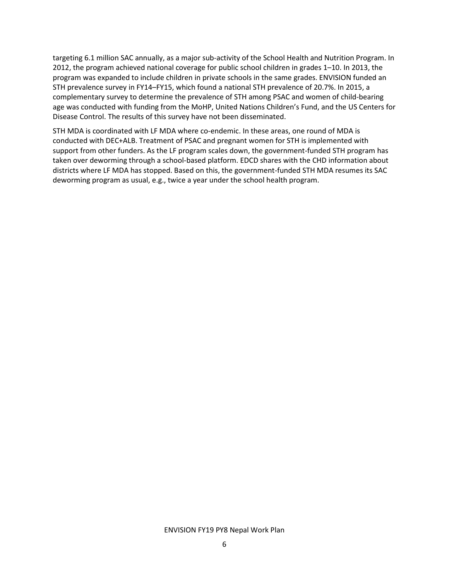targeting 6.1 million SAC annually, as a major sub-activity of the School Health and Nutrition Program. In 2012, the program achieved national coverage for public school children in grades 1–10. In 2013, the program was expanded to include children in private schools in the same grades. ENVISION funded an STH prevalence survey in FY14–FY15, which found a national STH prevalence of 20.7%. In 2015, a complementary survey to determine the prevalence of STH among PSAC and women of child-bearing age was conducted with funding from the MoHP, United Nations Children's Fund, and the US Centers for Disease Control. The results of this survey have not been disseminated.

STH MDA is coordinated with LF MDA where co-endemic. In these areas, one round of MDA is conducted with DEC+ALB. Treatment of PSAC and pregnant women for STH is implemented with support from other funders. As the LF program scales down, the government-funded STH program has taken over deworming through a school-based platform. EDCD shares with the CHD information about districts where LF MDA has stopped. Based on this, the government-funded STH MDA resumes its SAC deworming program as usual, e.g., twice a year under the school health program.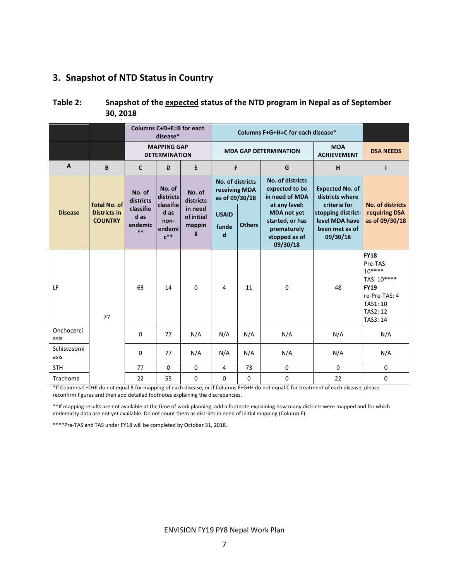## 3. Snapshot of NTD Status in Country

| Table 2: | Snapshot of the expected status of the NTD program in Nepal as of September |
|----------|-----------------------------------------------------------------------------|
|          | 30, 2018                                                                    |

|                     |                                       |                                      | Columns C+D+E=B for each<br>disease*                  |                                             |                                                     | Columns F+G+H=C for each disease* |                                                                                   |                                                                                    |                                                                                                                              |  |  |
|---------------------|---------------------------------------|--------------------------------------|-------------------------------------------------------|---------------------------------------------|-----------------------------------------------------|-----------------------------------|-----------------------------------------------------------------------------------|------------------------------------------------------------------------------------|------------------------------------------------------------------------------------------------------------------------------|--|--|
|                     |                                       |                                      | <b>MAPPING GAP</b><br><b>DETERMINATION</b>            |                                             |                                                     |                                   | <b>MDA GAP DETERMINATION</b>                                                      | <b>DSA NEEDS</b>                                                                   |                                                                                                                              |  |  |
| A                   | B                                     | $\mathbf{C}$                         | D                                                     | E                                           | F                                                   |                                   | G                                                                                 | H                                                                                  | ı                                                                                                                            |  |  |
|                     | <b>Total No. of</b>                   | No. of<br>districts                  | No. of<br>districts                                   | No. of<br>districts                         | No. of districts<br>receiving MDA<br>as of 09/30/18 |                                   | No. of districts<br>expected to be<br>in need of MDA<br>at any level:             | <b>Expected No. of</b><br>districts where                                          | <b>No. of districts</b>                                                                                                      |  |  |
| <b>Disease</b>      | <b>Districts in</b><br><b>COUNTRY</b> | classifie<br>d as<br>endemic<br>$**$ | classifie<br>d as<br>non-<br>endemi<br>$c^{\ast\ast}$ | in need<br><b>of initial</b><br>mappin<br>g | <b>USAID</b><br>funde<br>d                          | <b>Others</b>                     | <b>MDA</b> not yet<br>started, or has<br>prematurely<br>stopped as of<br>09/30/18 | criteria for<br>stopping district-<br>level MDA have<br>been met as of<br>09/30/18 | requiring DSA<br>as of 09/30/18                                                                                              |  |  |
| LF                  | 77                                    | 63                                   | 14                                                    | $\Omega$                                    | 4                                                   | 11                                | $\Omega$                                                                          | 48                                                                                 | <b>FY18</b><br>Pre-TAS:<br>$10***$<br>TAS: 10****<br><b>FY19</b><br>re-Pre-TAS: 4<br>TAS1: 10<br><b>TAS2: 12</b><br>TAS3: 14 |  |  |
| Onchocerci<br>asis  |                                       | 0                                    | 77                                                    | N/A                                         | N/A                                                 | N/A                               | N/A                                                                               | N/A                                                                                | N/A                                                                                                                          |  |  |
| Schistosomi<br>asis |                                       | $\Omega$                             | 77                                                    | N/A                                         | N/A                                                 | N/A                               | N/A                                                                               | N/A                                                                                | N/A                                                                                                                          |  |  |
| <b>STH</b>          |                                       | 77                                   | $\mathbf 0$                                           | $\mathbf 0$                                 | 4                                                   | 73                                | $\mathbf 0$                                                                       | $\mathbf 0$                                                                        | 0                                                                                                                            |  |  |
| Trachoma            |                                       | 22                                   | 55                                                    | 0                                           | 0                                                   | 0                                 | 0                                                                                 | 22                                                                                 | 0                                                                                                                            |  |  |

\*If Columns C+D+E do not equal B for mapping of each disease, or if Columns F+G+H do not equal C for treatment of each disease, please reconfirm figures and then add detailed footnotes explaining the discrepancies.

\*\*If mapping results are not available at the time of work planning, add a footnote explaining how many districts were mapped and for which endemicity data are not yet available. Do not count them as districts in need of initial mapping (Column E).

\*\*\*\*Pre-TAS and TAS under FY18 will be completed by October 31, 2018.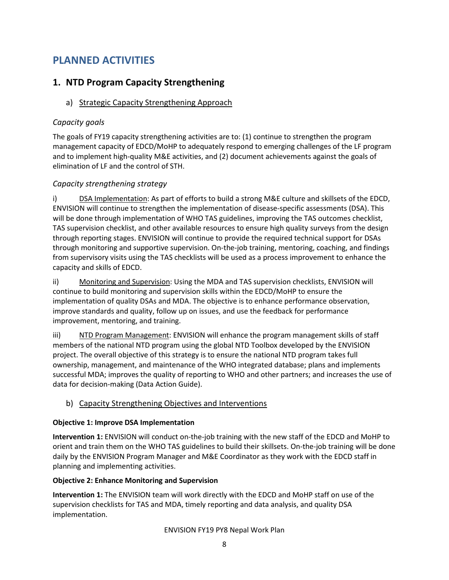# PLANNED ACTIVITIES

## 1. NTD Program Capacity Strengthening

## a) Strategic Capacity Strengthening Approach

## Capacity goals

The goals of FY19 capacity strengthening activities are to: (1) continue to strengthen the program management capacity of EDCD/MoHP to adequately respond to emerging challenges of the LF program and to implement high-quality M&E activities, and (2) document achievements against the goals of elimination of LF and the control of STH.

## Capacity strengthening strategy

i) DSA Implementation: As part of efforts to build a strong M&E culture and skillsets of the EDCD, ENVISION will continue to strengthen the implementation of disease-specific assessments (DSA). This will be done through implementation of WHO TAS guidelines, improving the TAS outcomes checklist, TAS supervision checklist, and other available resources to ensure high quality surveys from the design through reporting stages. ENVISION will continue to provide the required technical support for DSAs through monitoring and supportive supervision. On-the-job training, mentoring, coaching, and findings from supervisory visits using the TAS checklists will be used as a process improvement to enhance the capacity and skills of EDCD.

ii) Monitoring and Supervision: Using the MDA and TAS supervision checklists, ENVISION will continue to build monitoring and supervision skills within the EDCD/MoHP to ensure the implementation of quality DSAs and MDA. The objective is to enhance performance observation, improve standards and quality, follow up on issues, and use the feedback for performance improvement, mentoring, and training.

iii) NTD Program Management: ENVISION will enhance the program management skills of staff members of the national NTD program using the global NTD Toolbox developed by the ENVISION project. The overall objective of this strategy is to ensure the national NTD program takes full ownership, management, and maintenance of the WHO integrated database; plans and implements successful MDA; improves the quality of reporting to WHO and other partners; and increases the use of data for decision-making (Data Action Guide).

#### b) Capacity Strengthening Objectives and Interventions

#### Objective 1: Improve DSA Implementation

Intervention 1: ENVISION will conduct on-the-job training with the new staff of the EDCD and MoHP to orient and train them on the WHO TAS guidelines to build their skillsets. On-the-job training will be done daily by the ENVISION Program Manager and M&E Coordinator as they work with the EDCD staff in planning and implementing activities.

#### Objective 2: Enhance Monitoring and Supervision

Intervention 1: The ENVISION team will work directly with the EDCD and MoHP staff on use of the supervision checklists for TAS and MDA, timely reporting and data analysis, and quality DSA implementation.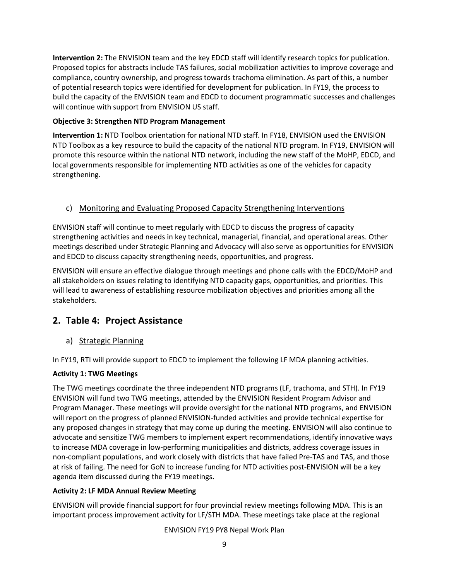Intervention 2: The ENVISION team and the key EDCD staff will identify research topics for publication. Proposed topics for abstracts include TAS failures, social mobilization activities to improve coverage and compliance, country ownership, and progress towards trachoma elimination. As part of this, a number of potential research topics were identified for development for publication. In FY19, the process to build the capacity of the ENVISION team and EDCD to document programmatic successes and challenges will continue with support from ENVISION US staff.

#### Objective 3: Strengthen NTD Program Management

Intervention 1: NTD Toolbox orientation for national NTD staff. In FY18, ENVISION used the ENVISION NTD Toolbox as a key resource to build the capacity of the national NTD program. In FY19, ENVISION will promote this resource within the national NTD network, including the new staff of the MoHP, EDCD, and local governments responsible for implementing NTD activities as one of the vehicles for capacity strengthening.

#### c) Monitoring and Evaluating Proposed Capacity Strengthening Interventions

ENVISION staff will continue to meet regularly with EDCD to discuss the progress of capacity strengthening activities and needs in key technical, managerial, financial, and operational areas. Other meetings described under Strategic Planning and Advocacy will also serve as opportunities for ENVISION and EDCD to discuss capacity strengthening needs, opportunities, and progress.

ENVISION will ensure an effective dialogue through meetings and phone calls with the EDCD/MoHP and all stakeholders on issues relating to identifying NTD capacity gaps, opportunities, and priorities. This will lead to awareness of establishing resource mobilization objectives and priorities among all the stakeholders.

## 2. Table 4: Project Assistance

a) Strategic Planning

In FY19, RTI will provide support to EDCD to implement the following LF MDA planning activities.

#### Activity 1: TWG Meetings

The TWG meetings coordinate the three independent NTD programs (LF, trachoma, and STH). In FY19 ENVISION will fund two TWG meetings, attended by the ENVISION Resident Program Advisor and Program Manager. These meetings will provide oversight for the national NTD programs, and ENVISION will report on the progress of planned ENVISION-funded activities and provide technical expertise for any proposed changes in strategy that may come up during the meeting. ENVISION will also continue to advocate and sensitize TWG members to implement expert recommendations, identify innovative ways to increase MDA coverage in low-performing municipalities and districts, address coverage issues in non-compliant populations, and work closely with districts that have failed Pre-TAS and TAS, and those at risk of failing. The need for GoN to increase funding for NTD activities post-ENVISION will be a key agenda item discussed during the FY19 meetings.

#### Activity 2: LF MDA Annual Review Meeting

ENVISION will provide financial support for four provincial review meetings following MDA. This is an important process improvement activity for LF/STH MDA. These meetings take place at the regional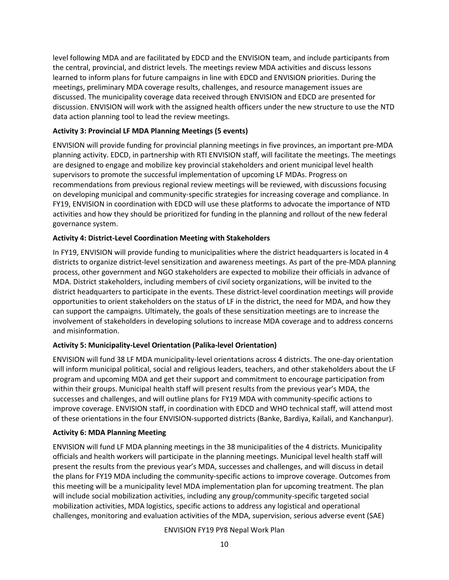level following MDA and are facilitated by EDCD and the ENVISION team, and include participants from the central, provincial, and district levels. The meetings review MDA activities and discuss lessons learned to inform plans for future campaigns in line with EDCD and ENVISION priorities. During the meetings, preliminary MDA coverage results, challenges, and resource management issues are discussed. The municipality coverage data received through ENVISION and EDCD are presented for discussion. ENVISION will work with the assigned health officers under the new structure to use the NTD data action planning tool to lead the review meetings.

#### Activity 3: Provincial LF MDA Planning Meetings (5 events)

ENVISION will provide funding for provincial planning meetings in five provinces, an important pre-MDA planning activity. EDCD, in partnership with RTI ENVISION staff, will facilitate the meetings. The meetings are designed to engage and mobilize key provincial stakeholders and orient municipal level health supervisors to promote the successful implementation of upcoming LF MDAs. Progress on recommendations from previous regional review meetings will be reviewed, with discussions focusing on developing municipal and community-specific strategies for increasing coverage and compliance. In FY19, ENVISION in coordination with EDCD will use these platforms to advocate the importance of NTD activities and how they should be prioritized for funding in the planning and rollout of the new federal governance system.

#### Activity 4: District-Level Coordination Meeting with Stakeholders

In FY19, ENVISION will provide funding to municipalities where the district headquarters is located in 4 districts to organize district-level sensitization and awareness meetings. As part of the pre-MDA planning process, other government and NGO stakeholders are expected to mobilize their officials in advance of MDA. District stakeholders, including members of civil society organizations, will be invited to the district headquarters to participate in the events. These district-level coordination meetings will provide opportunities to orient stakeholders on the status of LF in the district, the need for MDA, and how they can support the campaigns. Ultimately, the goals of these sensitization meetings are to increase the involvement of stakeholders in developing solutions to increase MDA coverage and to address concerns and misinformation.

#### Activity 5: Municipality-Level Orientation (Palika-level Orientation)

ENVISION will fund 38 LF MDA municipality-level orientations across 4 districts. The one-day orientation will inform municipal political, social and religious leaders, teachers, and other stakeholders about the LF program and upcoming MDA and get their support and commitment to encourage participation from within their groups. Municipal health staff will present results from the previous year's MDA, the successes and challenges, and will outline plans for FY19 MDA with community-specific actions to improve coverage. ENVISION staff, in coordination with EDCD and WHO technical staff, will attend most of these orientations in the four ENVISION-supported districts (Banke, Bardiya, Kailali, and Kanchanpur).

#### Activity 6: MDA Planning Meeting

ENVISION will fund LF MDA planning meetings in the 38 municipalities of the 4 districts. Municipality officials and health workers will participate in the planning meetings. Municipal level health staff will present the results from the previous year's MDA, successes and challenges, and will discuss in detail the plans for FY19 MDA including the community-specific actions to improve coverage. Outcomes from this meeting will be a municipality level MDA implementation plan for upcoming treatment. The plan will include social mobilization activities, including any group/community-specific targeted social mobilization activities, MDA logistics, specific actions to address any logistical and operational challenges, monitoring and evaluation activities of the MDA, supervision, serious adverse event (SAE)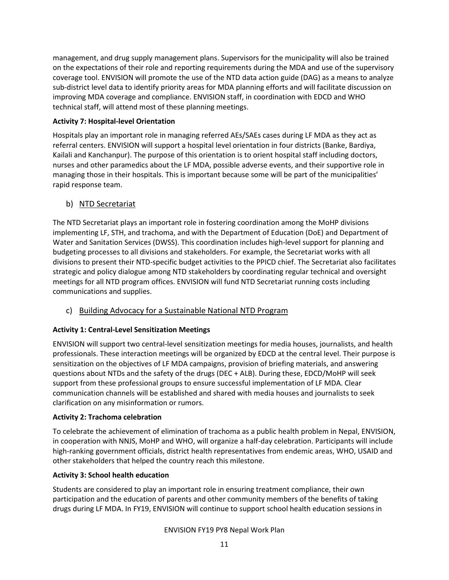management, and drug supply management plans. Supervisors for the municipality will also be trained on the expectations of their role and reporting requirements during the MDA and use of the supervisory coverage tool. ENVISION will promote the use of the NTD data action guide (DAG) as a means to analyze sub-district level data to identify priority areas for MDA planning efforts and will facilitate discussion on improving MDA coverage and compliance. ENVISION staff, in coordination with EDCD and WHO technical staff, will attend most of these planning meetings.

#### Activity 7: Hospital-level Orientation

Hospitals play an important role in managing referred AEs/SAEs cases during LF MDA as they act as referral centers. ENVISION will support a hospital level orientation in four districts (Banke, Bardiya, Kailali and Kanchanpur). The purpose of this orientation is to orient hospital staff including doctors, nurses and other paramedics about the LF MDA, possible adverse events, and their supportive role in managing those in their hospitals. This is important because some will be part of the municipalities' rapid response team.

#### b) NTD Secretariat

The NTD Secretariat plays an important role in fostering coordination among the MoHP divisions implementing LF, STH, and trachoma, and with the Department of Education (DoE) and Department of Water and Sanitation Services (DWSS). This coordination includes high-level support for planning and budgeting processes to all divisions and stakeholders. For example, the Secretariat works with all divisions to present their NTD-specific budget activities to the PPICD chief. The Secretariat also facilitates strategic and policy dialogue among NTD stakeholders by coordinating regular technical and oversight meetings for all NTD program offices. ENVISION will fund NTD Secretariat running costs including communications and supplies.

#### c) Building Advocacy for a Sustainable National NTD Program

#### Activity 1: Central-Level Sensitization Meetings

ENVISION will support two central-level sensitization meetings for media houses, journalists, and health professionals. These interaction meetings will be organized by EDCD at the central level. Their purpose is sensitization on the objectives of LF MDA campaigns, provision of briefing materials, and answering questions about NTDs and the safety of the drugs (DEC + ALB). During these, EDCD/MoHP will seek support from these professional groups to ensure successful implementation of LF MDA. Clear communication channels will be established and shared with media houses and journalists to seek clarification on any misinformation or rumors.

#### Activity 2: Trachoma celebration

To celebrate the achievement of elimination of trachoma as a public health problem in Nepal, ENVISION, in cooperation with NNJS, MoHP and WHO, will organize a half-day celebration. Participants will include high-ranking government officials, district health representatives from endemic areas, WHO, USAID and other stakeholders that helped the country reach this milestone.

#### Activity 3: School health education

Students are considered to play an important role in ensuring treatment compliance, their own participation and the education of parents and other community members of the benefits of taking drugs during LF MDA. In FY19, ENVISION will continue to support school health education sessions in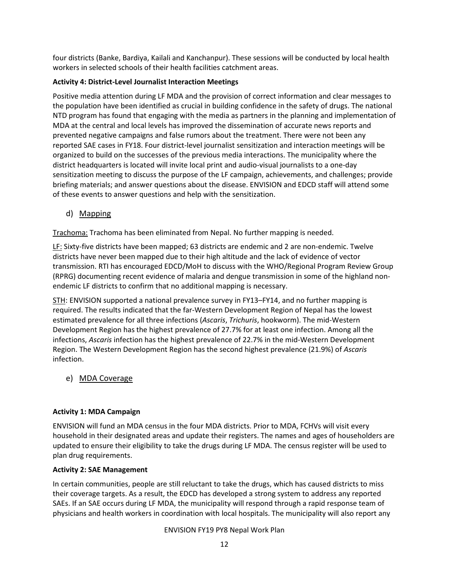four districts (Banke, Bardiya, Kailali and Kanchanpur). These sessions will be conducted by local health workers in selected schools of their health facilities catchment areas.

#### Activity 4: District-Level Journalist Interaction Meetings

Positive media attention during LF MDA and the provision of correct information and clear messages to the population have been identified as crucial in building confidence in the safety of drugs. The national NTD program has found that engaging with the media as partners in the planning and implementation of MDA at the central and local levels has improved the dissemination of accurate news reports and prevented negative campaigns and false rumors about the treatment. There were not been any reported SAE cases in FY18. Four district-level journalist sensitization and interaction meetings will be organized to build on the successes of the previous media interactions. The municipality where the district headquarters is located will invite local print and audio-visual journalists to a one-day sensitization meeting to discuss the purpose of the LF campaign, achievements, and challenges; provide briefing materials; and answer questions about the disease. ENVISION and EDCD staff will attend some of these events to answer questions and help with the sensitization.

d) Mapping

Trachoma: Trachoma has been eliminated from Nepal. No further mapping is needed.

LF: Sixty-five districts have been mapped; 63 districts are endemic and 2 are non-endemic. Twelve districts have never been mapped due to their high altitude and the lack of evidence of vector transmission. RTI has encouraged EDCD/MoH to discuss with the WHO/Regional Program Review Group (RPRG) documenting recent evidence of malaria and dengue transmission in some of the highland nonendemic LF districts to confirm that no additional mapping is necessary.

STH: ENVISION supported a national prevalence survey in FY13–FY14, and no further mapping is required. The results indicated that the far-Western Development Region of Nepal has the lowest estimated prevalence for all three infections (Ascaris, Trichuris, hookworm). The mid-Western Development Region has the highest prevalence of 27.7% for at least one infection. Among all the infections, Ascaris infection has the highest prevalence of 22.7% in the mid-Western Development Region. The Western Development Region has the second highest prevalence (21.9%) of Ascaris infection.

e) MDA Coverage

#### Activity 1: MDA Campaign

ENVISION will fund an MDA census in the four MDA districts. Prior to MDA, FCHVs will visit every household in their designated areas and update their registers. The names and ages of householders are updated to ensure their eligibility to take the drugs during LF MDA. The census register will be used to plan drug requirements.

#### Activity 2: SAE Management

In certain communities, people are still reluctant to take the drugs, which has caused districts to miss their coverage targets. As a result, the EDCD has developed a strong system to address any reported SAEs. If an SAE occurs during LF MDA, the municipality will respond through a rapid response team of physicians and health workers in coordination with local hospitals. The municipality will also report any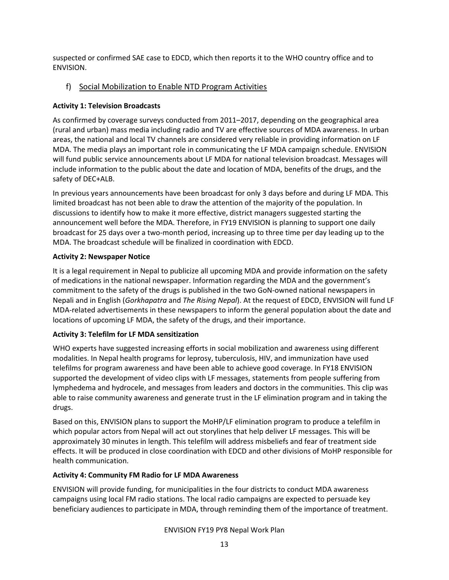suspected or confirmed SAE case to EDCD, which then reports it to the WHO country office and to ENVISION.

#### f) Social Mobilization to Enable NTD Program Activities

#### Activity 1: Television Broadcasts

As confirmed by coverage surveys conducted from 2011–2017, depending on the geographical area (rural and urban) mass media including radio and TV are effective sources of MDA awareness. In urban areas, the national and local TV channels are considered very reliable in providing information on LF MDA. The media plays an important role in communicating the LF MDA campaign schedule. ENVISION will fund public service announcements about LF MDA for national television broadcast. Messages will include information to the public about the date and location of MDA, benefits of the drugs, and the safety of DEC+ALB.

In previous years announcements have been broadcast for only 3 days before and during LF MDA. This limited broadcast has not been able to draw the attention of the majority of the population. In discussions to identify how to make it more effective, district managers suggested starting the announcement well before the MDA. Therefore, in FY19 ENVISION is planning to support one daily broadcast for 25 days over a two-month period, increasing up to three time per day leading up to the MDA. The broadcast schedule will be finalized in coordination with EDCD.

#### Activity 2: Newspaper Notice

It is a legal requirement in Nepal to publicize all upcoming MDA and provide information on the safety of medications in the national newspaper. Information regarding the MDA and the government's commitment to the safety of the drugs is published in the two GoN-owned national newspapers in Nepali and in English (Gorkhapatra and The Rising Nepal). At the request of EDCD, ENVISION will fund LF MDA-related advertisements in these newspapers to inform the general population about the date and locations of upcoming LF MDA, the safety of the drugs, and their importance.

#### Activity 3: Telefilm for LF MDA sensitization

WHO experts have suggested increasing efforts in social mobilization and awareness using different modalities. In Nepal health programs for leprosy, tuberculosis, HIV, and immunization have used telefilms for program awareness and have been able to achieve good coverage. In FY18 ENVISION supported the development of video clips with LF messages, statements from people suffering from lymphedema and hydrocele, and messages from leaders and doctors in the communities. This clip was able to raise community awareness and generate trust in the LF elimination program and in taking the drugs.

Based on this, ENVISION plans to support the MoHP/LF elimination program to produce a telefilm in which popular actors from Nepal will act out storylines that help deliver LF messages. This will be approximately 30 minutes in length. This telefilm will address misbeliefs and fear of treatment side effects. It will be produced in close coordination with EDCD and other divisions of MoHP responsible for health communication.

#### Activity 4: Community FM Radio for LF MDA Awareness

ENVISION will provide funding, for municipalities in the four districts to conduct MDA awareness campaigns using local FM radio stations. The local radio campaigns are expected to persuade key beneficiary audiences to participate in MDA, through reminding them of the importance of treatment.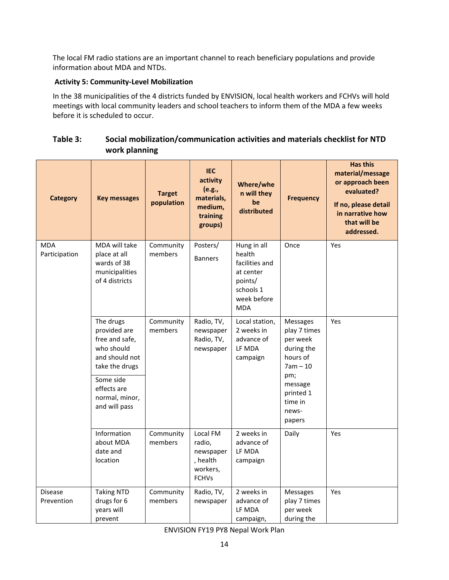The local FM radio stations are an important channel to reach beneficiary populations and provide information about MDA and NTDs.

#### Activity 5: Community-Level Mobilization

In the 38 municipalities of the 4 districts funded by ENVISION, local health workers and FCHVs will hold meetings with local community leaders and school teachers to inform them of the MDA a few weeks before it is scheduled to occur.

#### Table 3: Social mobilization/communication activities and materials checklist for NTD work planning

| <b>Category</b>              | <b>Key messages</b>                                                                           | <b>Target</b><br>population | <b>IEC</b><br>activity<br>(e.g.,<br>materials,<br>medium,<br>training<br>groups) | Where/whe<br>n will they<br>be<br>distributed                                                             | <b>Frequency</b>                                                                    | <b>Has this</b><br>material/message<br>or approach been<br>evaluated?<br>If no, please detail<br>in narrative how<br>that will be<br>addressed. |
|------------------------------|-----------------------------------------------------------------------------------------------|-----------------------------|----------------------------------------------------------------------------------|-----------------------------------------------------------------------------------------------------------|-------------------------------------------------------------------------------------|-------------------------------------------------------------------------------------------------------------------------------------------------|
| <b>MDA</b><br>Participation  | MDA will take<br>place at all<br>wards of 38<br>municipalities<br>of 4 districts              | Community<br>members        | Posters/<br><b>Banners</b>                                                       | Hung in all<br>health<br>facilities and<br>at center<br>points/<br>schools 1<br>week before<br><b>MDA</b> | Once                                                                                | Yes                                                                                                                                             |
|                              | The drugs<br>provided are<br>free and safe,<br>who should<br>and should not<br>take the drugs | Community<br>members        | Radio, TV,<br>newspaper<br>Radio, TV,<br>newspaper                               | Local station,<br>2 weeks in<br>advance of<br>LF MDA<br>campaign                                          | <b>Messages</b><br>play 7 times<br>per week<br>during the<br>hours of<br>$7am - 10$ | Yes                                                                                                                                             |
|                              | Some side<br>effects are<br>normal, minor,<br>and will pass                                   |                             |                                                                                  |                                                                                                           | pm;<br>message<br>printed 1<br>time in<br>news-<br>papers                           |                                                                                                                                                 |
|                              | Information<br>about MDA<br>date and<br>location                                              | Community<br>members        | Local FM<br>radio,<br>newspaper<br>, health<br>workers,<br><b>FCHVs</b>          | 2 weeks in<br>advance of<br>LF MDA<br>campaign                                                            | Daily                                                                               | Yes                                                                                                                                             |
| <b>Disease</b><br>Prevention | <b>Taking NTD</b><br>drugs for 6<br>years will<br>prevent                                     | Community<br>members        | Radio, TV,<br>newspaper                                                          | 2 weeks in<br>advance of<br>LF MDA<br>campaign,                                                           | <b>Messages</b><br>play 7 times<br>per week<br>during the                           | Yes                                                                                                                                             |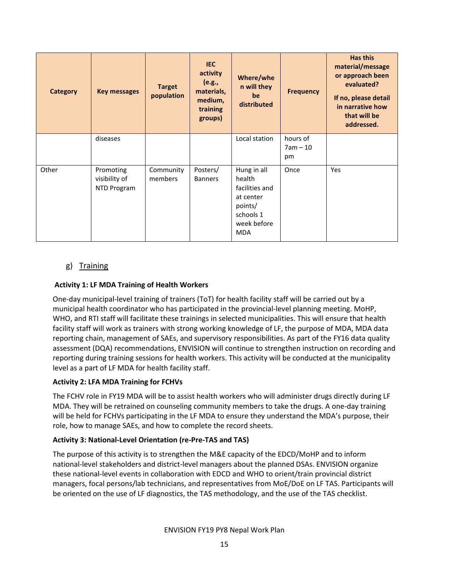| <b>Category</b> | <b>Key messages</b>                       | <b>Target</b><br>population | <b>IEC</b><br>activity<br>(e.g.,<br>materials,<br>medium,<br>training<br>groups) | Where/whe<br>n will they<br>be<br>distributed                                                             | <b>Frequency</b>             | <b>Has this</b><br>material/message<br>or approach been<br>evaluated?<br>If no, please detail<br>in narrative how<br>that will be<br>addressed. |
|-----------------|-------------------------------------------|-----------------------------|----------------------------------------------------------------------------------|-----------------------------------------------------------------------------------------------------------|------------------------------|-------------------------------------------------------------------------------------------------------------------------------------------------|
|                 | diseases                                  |                             |                                                                                  | Local station                                                                                             | hours of<br>$7am - 10$<br>pm |                                                                                                                                                 |
| Other           | Promoting<br>visibility of<br>NTD Program | Community<br>members        | Posters/<br><b>Banners</b>                                                       | Hung in all<br>health<br>facilities and<br>at center<br>points/<br>schools 1<br>week before<br><b>MDA</b> | Once                         | Yes                                                                                                                                             |

#### g) Training

#### Activity 1: LF MDA Training of Health Workers

One-day municipal-level training of trainers (ToT) for health facility staff will be carried out by a municipal health coordinator who has participated in the provincial-level planning meeting. MoHP, WHO, and RTI staff will facilitate these trainings in selected municipalities. This will ensure that health facility staff will work as trainers with strong working knowledge of LF, the purpose of MDA, MDA data reporting chain, management of SAEs, and supervisory responsibilities. As part of the FY16 data quality assessment (DQA) recommendations, ENVISION will continue to strengthen instruction on recording and reporting during training sessions for health workers. This activity will be conducted at the municipality level as a part of LF MDA for health facility staff.

#### Activity 2: LFA MDA Training for FCHVs

The FCHV role in FY19 MDA will be to assist health workers who will administer drugs directly during LF MDA. They will be retrained on counseling community members to take the drugs. A one-day training will be held for FCHVs participating in the LF MDA to ensure they understand the MDA's purpose, their role, how to manage SAEs, and how to complete the record sheets.

#### Activity 3: National-Level Orientation (re-Pre-TAS and TAS)

The purpose of this activity is to strengthen the M&E capacity of the EDCD/MoHP and to inform national-level stakeholders and district-level managers about the planned DSAs. ENVISION organize these national-level events in collaboration with EDCD and WHO to orient/train provincial district managers, focal persons/lab technicians, and representatives from MoE/DoE on LF TAS. Participants will be oriented on the use of LF diagnostics, the TAS methodology, and the use of the TAS checklist.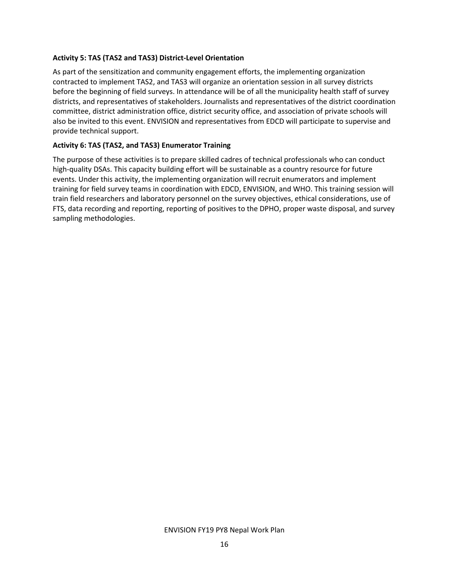#### Activity 5: TAS (TAS2 and TAS3) District-Level Orientation

As part of the sensitization and community engagement efforts, the implementing organization contracted to implement TAS2, and TAS3 will organize an orientation session in all survey districts before the beginning of field surveys. In attendance will be of all the municipality health staff of survey districts, and representatives of stakeholders. Journalists and representatives of the district coordination committee, district administration office, district security office, and association of private schools will also be invited to this event. ENVISION and representatives from EDCD will participate to supervise and provide technical support.

#### Activity 6: TAS (TAS2, and TAS3) Enumerator Training

The purpose of these activities is to prepare skilled cadres of technical professionals who can conduct high-quality DSAs. This capacity building effort will be sustainable as a country resource for future events. Under this activity, the implementing organization will recruit enumerators and implement training for field survey teams in coordination with EDCD, ENVISION, and WHO. This training session will train field researchers and laboratory personnel on the survey objectives, ethical considerations, use of FTS, data recording and reporting, reporting of positives to the DPHO, proper waste disposal, and survey sampling methodologies.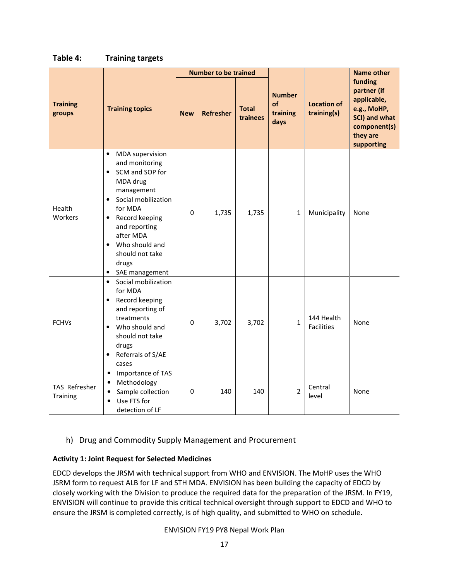|                           |                                                                                                                                                                                                                                                                                                               |                  | <b>Number to be trained</b> |                          |                                         |                                   | <b>Name other</b>                                                                                               |
|---------------------------|---------------------------------------------------------------------------------------------------------------------------------------------------------------------------------------------------------------------------------------------------------------------------------------------------------------|------------------|-----------------------------|--------------------------|-----------------------------------------|-----------------------------------|-----------------------------------------------------------------------------------------------------------------|
| <b>Training</b><br>groups | <b>Training topics</b>                                                                                                                                                                                                                                                                                        | <b>New</b>       | <b>Refresher</b>            | <b>Total</b><br>trainees | <b>Number</b><br>of<br>training<br>days | <b>Location of</b><br>training(s) | funding<br>partner (if<br>applicable,<br>e.g., MoHP,<br>SCI) and what<br>component(s)<br>they are<br>supporting |
| Health<br>Workers         | <b>MDA</b> supervision<br>$\bullet$<br>and monitoring<br>SCM and SOP for<br>$\bullet$<br>MDA drug<br>management<br>Social mobilization<br>$\bullet$<br>for MDA<br>Record keeping<br>$\bullet$<br>and reporting<br>after MDA<br>Who should and<br>$\bullet$<br>should not take<br>drugs<br>SAE management<br>٠ | $\Omega$         | 1,735                       | 1,735                    | 1                                       | Municipality                      | None                                                                                                            |
| <b>FCHVs</b>              | Social mobilization<br>$\bullet$<br>for MDA<br>Record keeping<br>$\bullet$<br>and reporting of<br>treatments<br>Who should and<br>$\bullet$<br>should not take<br>drugs<br>Referrals of S/AE<br>$\bullet$<br>cases                                                                                            | $\pmb{0}$        | 3,702                       | 3,702                    | $\mathbf{1}$                            | 144 Health<br><b>Facilities</b>   | None                                                                                                            |
| TAS Refresher<br>Training | Importance of TAS<br>$\bullet$<br>Methodology<br>$\bullet$<br>Sample collection<br>$\bullet$<br>Use FTS for<br>$\bullet$<br>detection of LF                                                                                                                                                                   | $\boldsymbol{0}$ | 140                         | 140                      | $\overline{2}$                          | Central<br>level                  | None                                                                                                            |

#### Table 4: Training targets

#### h) Drug and Commodity Supply Management and Procurement

#### Activity 1: Joint Request for Selected Medicines

EDCD develops the JRSM with technical support from WHO and ENVISION. The MoHP uses the WHO JSRM form to request ALB for LF and STH MDA. ENVISION has been building the capacity of EDCD by closely working with the Division to produce the required data for the preparation of the JRSM. In FY19, ENVISION will continue to provide this critical technical oversight through support to EDCD and WHO to ensure the JRSM is completed correctly, is of high quality, and submitted to WHO on schedule.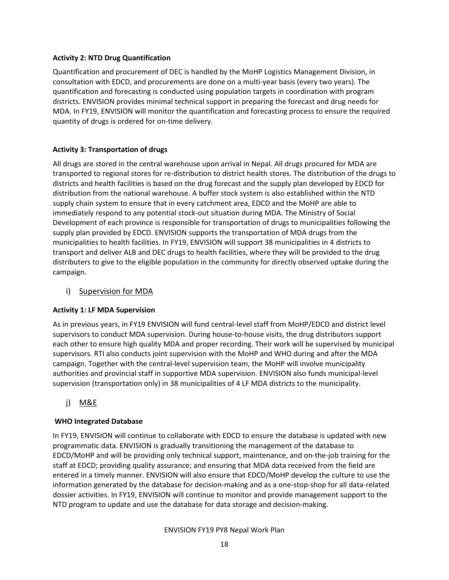#### Activity 2: NTD Drug Quantification

Quantification and procurement of DEC is handled by the MoHP Logistics Management Division, in consultation with EDCD, and procurements are done on a multi-year basis (every two years). The quantification and forecasting is conducted using population targets in coordination with program districts. ENVISION provides minimal technical support in preparing the forecast and drug needs for MDA. In FY19, ENVISION will monitor the quantification and forecasting process to ensure the required quantity of drugs is ordered for on-time delivery.

#### Activity 3: Transportation of drugs

All drugs are stored in the central warehouse upon arrival in Nepal. All drugs procured for MDA are transported to regional stores for re-distribution to district health stores. The distribution of the drugs to districts and health facilities is based on the drug forecast and the supply plan developed by EDCD for distribution from the national warehouse. A buffer stock system is also established within the NTD supply chain system to ensure that in every catchment area, EDCD and the MoHP are able to immediately respond to any potential stock-out situation during MDA. The Ministry of Social Development of each province is responsible for transportation of drugs to municipalities following the supply plan provided by EDCD. ENVISION supports the transportation of MDA drugs from the municipalities to health facilities. In FY19, ENVISION will support 38 municipalities in 4 districts to transport and deliver ALB and DEC drugs to health facilities, where they will be provided to the drug distributers to give to the eligible population in the community for directly observed uptake during the campaign.

#### i) Supervision for MDA

#### Activity 1: LF MDA Supervision

As in previous years, in FY19 ENVISION will fund central-level staff from MoHP/EDCD and district level supervisors to conduct MDA supervision. During house-to-house visits, the drug distributors support each other to ensure high quality MDA and proper recording. Their work will be supervised by municipal supervisors. RTI also conducts joint supervision with the MoHP and WHO during and after the MDA campaign. Together with the central-level supervision team, the MoHP will involve municipality authorities and provincial staff in supportive MDA supervision. ENVISION also funds municipal-level supervision (transportation only) in 38 municipalities of 4 LF MDA districts to the municipality.

## j) M&E

#### WHO Integrated Database

In FY19, ENVISION will continue to collaborate with EDCD to ensure the database is updated with new programmatic data. ENVISION is gradually transitioning the management of the database to EDCD/MoHP and will be providing only technical support, maintenance, and on-the-job training for the staff at EDCD; providing quality assurance; and ensuring that MDA data received from the field are entered in a timely manner. ENVISION will also ensure that EDCD/MoHP develop the culture to use the information generated by the database for decision-making and as a one-stop-shop for all data-related dossier activities. In FY19, ENVISION will continue to monitor and provide management support to the NTD program to update and use the database for data storage and decision-making.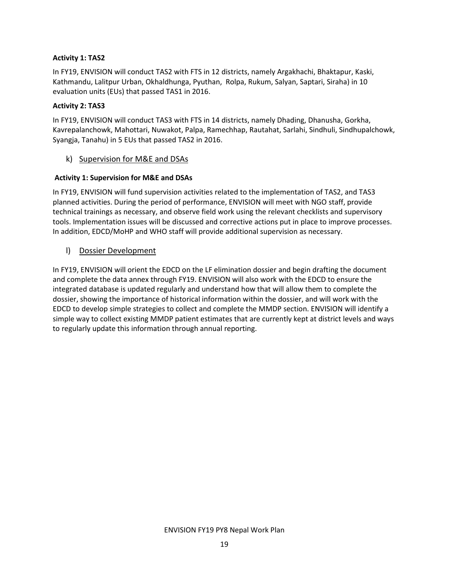#### Activity 1: TAS2

In FY19, ENVISION will conduct TAS2 with FTS in 12 districts, namely Argakhachi, Bhaktapur, Kaski, Kathmandu, Lalitpur Urban, Okhaldhunga, Pyuthan, Rolpa, Rukum, Salyan, Saptari, Siraha) in 10 evaluation units (EUs) that passed TAS1 in 2016.

#### Activity 2: TAS3

In FY19, ENVISION will conduct TAS3 with FTS in 14 districts, namely Dhading, Dhanusha, Gorkha, Kavrepalanchowk, Mahottari, Nuwakot, Palpa, Ramechhap, Rautahat, Sarlahi, Sindhuli, Sindhupalchowk, Syangja, Tanahu) in 5 EUs that passed TAS2 in 2016.

#### k) Supervision for M&E and DSAs

#### Activity 1: Supervision for M&E and DSAs

In FY19, ENVISION will fund supervision activities related to the implementation of TAS2, and TAS3 planned activities. During the period of performance, ENVISION will meet with NGO staff, provide technical trainings as necessary, and observe field work using the relevant checklists and supervisory tools. Implementation issues will be discussed and corrective actions put in place to improve processes. In addition, EDCD/MoHP and WHO staff will provide additional supervision as necessary.

#### l) Dossier Development

In FY19, ENVISION will orient the EDCD on the LF elimination dossier and begin drafting the document and complete the data annex through FY19. ENVISION will also work with the EDCD to ensure the integrated database is updated regularly and understand how that will allow them to complete the dossier, showing the importance of historical information within the dossier, and will work with the EDCD to develop simple strategies to collect and complete the MMDP section. ENVISION will identify a simple way to collect existing MMDP patient estimates that are currently kept at district levels and ways to regularly update this information through annual reporting.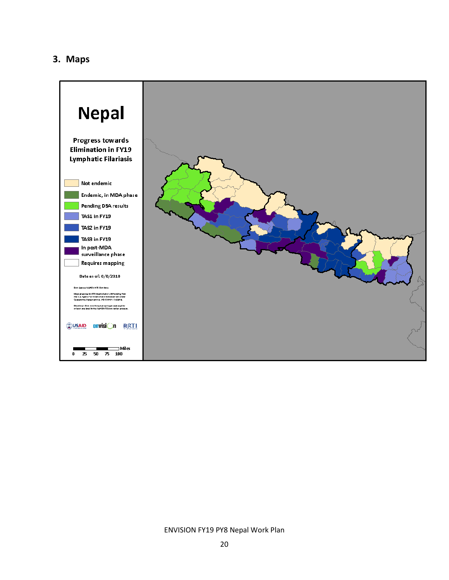## 3. Maps

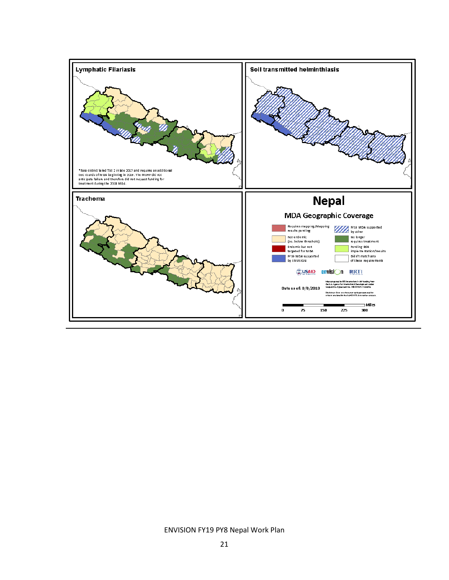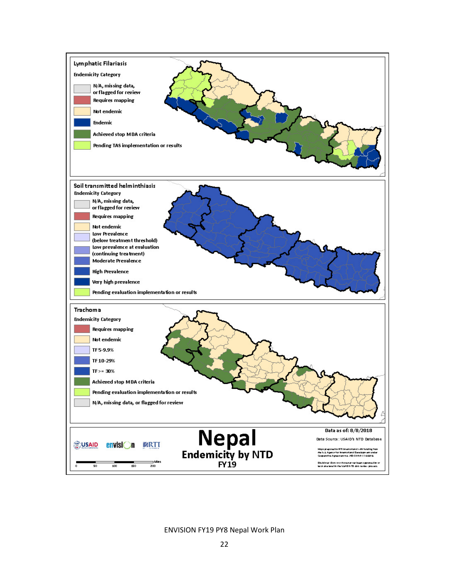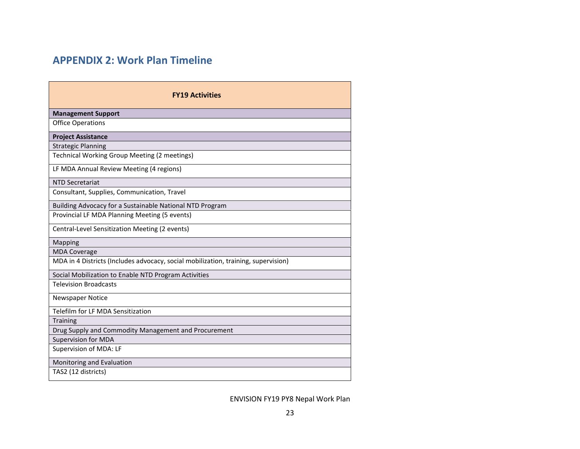# APPENDIX 2: Work Plan Timeline

| <b>FY19 Activities</b>                                                             |  |  |  |  |  |  |  |  |
|------------------------------------------------------------------------------------|--|--|--|--|--|--|--|--|
| <b>Management Support</b>                                                          |  |  |  |  |  |  |  |  |
| <b>Office Operations</b>                                                           |  |  |  |  |  |  |  |  |
| <b>Project Assistance</b>                                                          |  |  |  |  |  |  |  |  |
| <b>Strategic Planning</b>                                                          |  |  |  |  |  |  |  |  |
| Technical Working Group Meeting (2 meetings)                                       |  |  |  |  |  |  |  |  |
| LF MDA Annual Review Meeting (4 regions)                                           |  |  |  |  |  |  |  |  |
| <b>NTD Secretariat</b>                                                             |  |  |  |  |  |  |  |  |
| Consultant, Supplies, Communication, Travel                                        |  |  |  |  |  |  |  |  |
| Building Advocacy for a Sustainable National NTD Program                           |  |  |  |  |  |  |  |  |
| Provincial LF MDA Planning Meeting (5 events)                                      |  |  |  |  |  |  |  |  |
| Central-Level Sensitization Meeting (2 events)                                     |  |  |  |  |  |  |  |  |
| Mapping                                                                            |  |  |  |  |  |  |  |  |
| <b>MDA Coverage</b>                                                                |  |  |  |  |  |  |  |  |
| MDA in 4 Districts (Includes advocacy, social mobilization, training, supervision) |  |  |  |  |  |  |  |  |
| Social Mobilization to Enable NTD Program Activities                               |  |  |  |  |  |  |  |  |
| <b>Television Broadcasts</b>                                                       |  |  |  |  |  |  |  |  |
| <b>Newspaper Notice</b>                                                            |  |  |  |  |  |  |  |  |
| Telefilm for LF MDA Sensitization                                                  |  |  |  |  |  |  |  |  |
| <b>Training</b>                                                                    |  |  |  |  |  |  |  |  |
| Drug Supply and Commodity Management and Procurement                               |  |  |  |  |  |  |  |  |
| <b>Supervision for MDA</b>                                                         |  |  |  |  |  |  |  |  |
| Supervision of MDA: LF                                                             |  |  |  |  |  |  |  |  |
| Monitoring and Evaluation                                                          |  |  |  |  |  |  |  |  |
| TAS2 (12 districts)                                                                |  |  |  |  |  |  |  |  |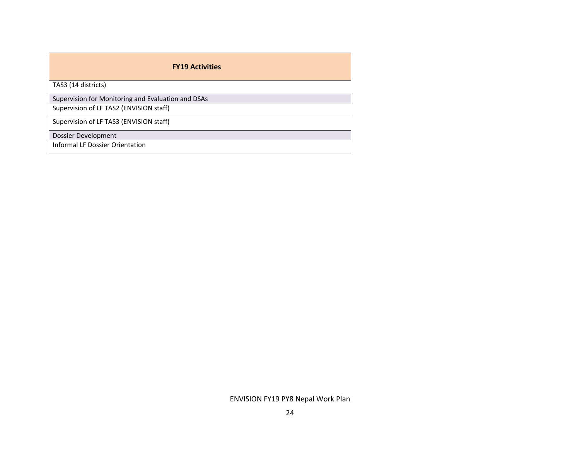| <b>FY19 Activities</b>                             |
|----------------------------------------------------|
| TAS3 (14 districts)                                |
| Supervision for Monitoring and Evaluation and DSAs |
| Supervision of LF TAS2 (ENVISION staff)            |
| Supervision of LF TAS3 (ENVISION staff)            |
| Dossier Development                                |
| <b>Informal LF Dossier Orientation</b>             |